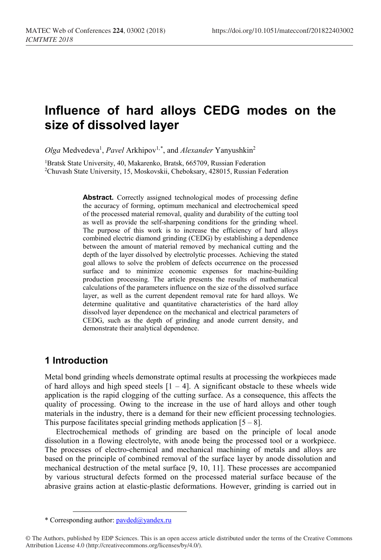# **Influence of hard alloys CEDG modes on the size of dissolved layer**

Olga Medvedeva<sup>1</sup>, *Pavel* Arkhipov<sup>1,[\\*](#page-0-0)</sup>, and *Alexander* Yanyushkin<sup>2</sup>

<sup>1</sup>Bratsk State University, 40, Makarenko, Bratsk, 665709, Russian Federation 2Chuvash State University, 15, Moskovskii, Cheboksary, 428015, Russian Federation

> Abstract. Correctly assigned technological modes of processing define the accuracy of forming, optimum mechanical and electrochemical speed of the processed material removal, quality and durability of the cutting tool as well as provide the self-sharpening conditions for the grinding wheel. The purpose of this work is to increase the efficiency of hard alloys combined electric diamond grinding (CEDG) by establishing a dependence between the amount of material removed by mechanical cutting and the depth of the layer dissolved by electrolytic processes. Achieving the stated goal allows to solve the problem of defects occurrence on the processed surface and to minimize economic expenses for machine-building production processing. The article presents the results of mathematical calculations of the parameters influence on the size of the dissolved surface layer, as well as the current dependent removal rate for hard alloys. We determine qualitative and quantitative characteristics of the hard alloy dissolved layer dependence on the mechanical and electrical parameters of CEDG, such as the depth of grinding and anode current density, and demonstrate their analytical dependence.

## **1 Introduction**

 $\overline{a}$ 

Metal bond grinding wheels demonstrate optimal results at processing the workpieces made of hard alloys and high speed steels  $[1 - 4]$ . A significant obstacle to these wheels wide application is the rapid clogging of the cutting surface. As a consequence, this affects the quality of processing. Owing to the increase in the use of hard alloys and other tough materials in the industry, there is a demand for their new efficient processing technologies. This purpose facilitates special grinding methods application  $[5 - 8]$ .

Electrochemical methods of grinding are based on the principle of local anode dissolution in a flowing electrolyte, with anode being the processed tool or a workpiece. The processes of electro-chemical and mechanical machining of metals and alloys are based on the principle of combined removal of the surface layer by anode dissolution and mechanical destruction of the metal surface [9, 10, 11]. These processes are accompanied by various structural defects formed on the processed material surface because of the abrasive grains action at elastic-plastic deformations. However, grinding is carried out in

<sup>\*</sup> Corresponding author: pavded@yandex.ru

<span id="page-0-0"></span><sup>©</sup> The Authors, published by EDP Sciences. This is an open access article distributed under the terms of the Creative Commons Attribution License 4.0 (http://creativecommons.org/licenses/by/4.0/).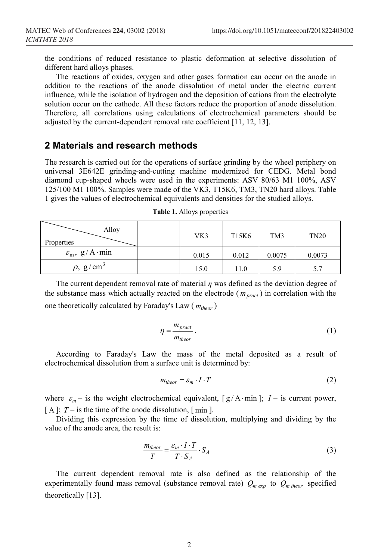the conditions of reduced resistance to plastic deformation at selective dissolution of different hard alloys phases.

The reactions of oxides, oxygen and other gases formation can occur on the anode in addition to the reactions of the anode dissolution of metal under the electric current influence, while the isolation of hydrogen and the deposition of cations from the electrolyte solution occur on the cathode. All these factors reduce the proportion of anode dissolution. Therefore, all correlations using calculations of electrochemical parameters should be adjusted by the current-dependent removal rate coefficient [11, 12, 13].

#### **2 Materials and research methods**

The research is carried out for the operations of surface grinding by the wheel periphery on universal 3E642E grinding-and-cutting machine modernized for CEDG. Metal bond diamond cup-shaped wheels were used in the experiments: АSV 80/63 М1 100%, АSV 125/100 М1 100%. Samples were made of the VK3, T15K6, TM3, TN20 hard alloys. Table 1 gives the values of electrochemical equivalents and densities for the studied alloys.

| Alloy<br>Properties             | VK3   | T15K6 | TM3    | <b>TN20</b> |
|---------------------------------|-------|-------|--------|-------------|
| $\varepsilon_{\rm m}$ , g/A·min | 0.015 | 0.012 | 0.0075 | 0.0073      |
| $\rho$ , g/cm <sup>3</sup>      | 15.0  | 11.0  | 5.9    | 5.7         |

**Table 1.** Alloys properties

The current dependent removal rate of material *η* was defined as the deviation degree of the substance mass which actually reacted on the electrode ( $m_{\text{pract}}$ ) in correlation with the one theoretically calculated by Faraday's Law ( $m_{theor}$ )

$$
\eta = \frac{m_{\text{pract}}}{m_{\text{theor}}}.
$$
\n<sup>(1)</sup>

According to Faraday's Law the mass of the metal deposited as a result of electrochemical dissolution from a surface unit is determined by:

$$
m_{theor} = \varepsilon_m \cdot I \cdot T \tag{2}
$$

where  $\varepsilon_m$  – is the weight electrochemical equivalent, [g/A⋅min]; *I* – is current power,  $[A]$ ;  $T -$  is the time of the anode dissolution,  $\lceil \text{min} \rceil$ .

Dividing this expression by the time of dissolution, multiplying and dividing by the value of the anode area, the result is:

$$
\frac{m_{theor}}{T} = \frac{\varepsilon_m \cdot I \cdot T}{T \cdot S_A} \cdot S_A \tag{3}
$$

The current dependent removal rate is also defined as the relationship of the experimentally found mass removal (substance removal rate)  $Q_{m \exp}$  to  $Q_{m \text{ theory}}$  specified theoretically [13].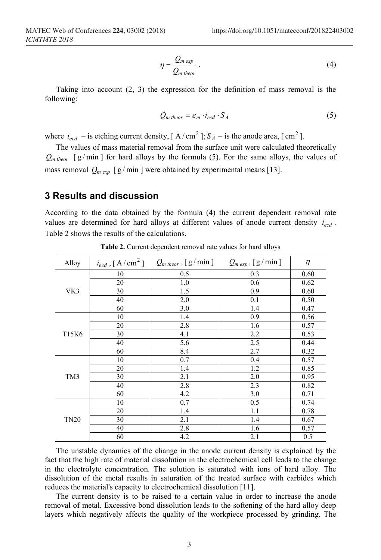$$
\eta = \frac{Q_{m \exp}}{Q_{m \text{ theor}}}.
$$
\n(4)

Taking into account  $(2, 3)$  the expression for the definition of mass removal is the following:

$$
Q_{m\,theor} = \varepsilon_m \cdot i_{ecd} \cdot S_A \tag{5}
$$

where  $i_{ecd}$  – is etching current density,  $[A/cm^2]$ ;  $S_A$  – is the anode area,  $[cm^2]$ .

The values of mass material removal from the surface unit were calculated theoretically  $Q_{m\,theor}$  [g/min] for hard alloys by the formula (5). For the same alloys, the values of mass removal  $Q_{m \text{ exp }}$  [g/min] were obtained by experimental means [13].

#### **3 Results and discussion**

According to the data obtained by the formula (4) the current dependent removal rate values are determined for hard alloys at different values of anode current density  $i_{ecd}$ . Table 2 shows the results of the calculations.

| Alloy       | $i_{ecd}$ , [A/cm <sup>2</sup> ] | $Q_{m\,theor}$ , [g/min] | $Q_{m \exp}$ , [g/min] | $\eta$ |
|-------------|----------------------------------|--------------------------|------------------------|--------|
| VK3         | 10                               | 0.5                      | 0.3                    | 0.60   |
|             | 20                               | 1.0                      | 0.6                    | 0.62   |
|             | 30                               | 1.5                      | 0.9                    | 0.60   |
|             | 40                               | 2.0                      | 0.1                    | 0.50   |
|             | 60                               | 3.0                      | 1.4                    | 0.47   |
| T15K6       | 10                               | 1.4                      | 0.9                    | 0.56   |
|             | 20                               | 2.8                      | 1.6                    | 0.57   |
|             | 30                               | 4.1                      | 2.2                    | 0.53   |
|             | 40                               | 5.6                      | 2.5                    | 0.44   |
|             | 60                               | 8.4                      | 2.7                    | 0.32   |
| TM3         | 10                               | 0.7                      | 0.4                    | 0.57   |
|             | 20                               | 1.4                      | 1.2                    | 0.85   |
|             | 30                               | 2.1                      | 2.0                    | 0.95   |
|             | 40                               | 2.8                      | 2.3                    | 0.82   |
|             | 60                               | 4.2                      | 3.0                    | 0.71   |
| <b>TN20</b> | 10                               | 0.7                      | 0.5                    | 0.74   |
|             | 20                               | 1.4                      | 1.1                    | 0.78   |
|             | 30                               | 2.1                      | 1.4                    | 0.67   |
|             | 40                               | 2.8                      | 1.6                    | 0.57   |
|             | 60                               | 4.2                      | 2.1                    | 0.5    |

**Table 2.** Current dependent removal rate values for hard alloys

The unstable dynamics of the change in the anode current density is explained by the fact that the high rate of material dissolution in the electrochemical cell leads to the change in the electrolyte concentration. The solution is saturated with ions of hard alloy. The dissolution of the metal results in saturation of the treated surface with carbides which reduces the material's capacity to electrochemical dissolution [11].

The current density is to be raised to a certain value in order to increase the anode removal of metal. Excessive bond dissolution leads to the softening of the hard alloy deep layers which negatively affects the quality of the workpiece processed by grinding. The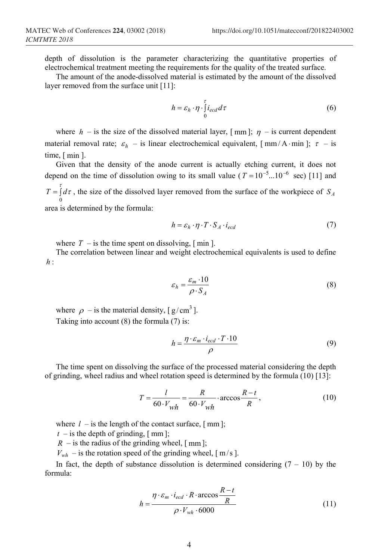depth of dissolution is the parameter characterizing the quantitative properties of electrochemical treatment meeting the requirements for the quality of the treated surface.

The amount of the anode-dissolved material is estimated by the amount of the dissolved layer removed from the surface unit [11]:

$$
h = \varepsilon_h \cdot \eta \cdot \int_0^{\tau} i_{ecd} d\tau \tag{6}
$$

where  $h$  – is the size of the dissolved material layer,  $[mm]$ ;  $\eta$  – is current dependent material removal rate;  $\varepsilon_h$  – is linear electrochemical equivalent,  $\left[ \frac{mm}{A \cdot min} \right]$ ;  $\tau$  – is time, [ min ].

Given that the density of the anode current is actually etching current, it does not depend on the time of dissolution owing to its small value ( $T = 10^{-5}$ ...10<sup>-6</sup> sec) [11] and  $T = \int d\tau$ , the size of the dissolved layer removed from the surface of the workpiece of  $S_A$ 0 area is determined by the formula:

$$
h = \varepsilon_h \cdot \eta \cdot T \cdot S_A \cdot i_{ecd} \tag{7}
$$

where  $T -$  is the time spent on dissolving,  $\lceil \text{min} \rceil$ .

The correlation between linear and weight electrochemical equivalents is used to define *h* :

$$
\varepsilon_h = \frac{\varepsilon_m \cdot 10}{\rho \cdot S_A} \tag{8}
$$

where  $\rho$  – is the material density, [  $g/cm^3$  ]. Taking into account (8) the formula (7) is:

$$
h = \frac{\eta \cdot \varepsilon_m \cdot i_{ecd} \cdot T \cdot 10}{\rho} \tag{9}
$$

The time spent on dissolving the surface of the processed material considering the depth of grinding, wheel radius and wheel rotation speed is determined by the formula (10) [13]:

$$
T = \frac{l}{60 \cdot V_{wh}} = \frac{R}{60 \cdot V_{wh}} \cdot \arccos \frac{R - t}{R},\tag{10}
$$

where  $l -$  is the length of the contact surface,  $[ \text{ mm} ]$ ;

 $t -$  is the depth of grinding,  $\lceil \text{mm} \rceil$ ;

 $R$  – is the radius of the grinding wheel,  $\lceil$  mm  $\rceil$ ;

 $V_{wh}$  – is the rotation speed of the grinding wheel,  $\lceil m/s \rceil$ .

In fact, the depth of substance dissolution is determined considering  $(7 - 10)$  by the formula:

$$
h = \frac{\eta \cdot \varepsilon_m \cdot i_{ecd} \cdot R \cdot \arccos \frac{R - t}{R}}{\rho \cdot V_{wh} \cdot 6000}
$$
 (11)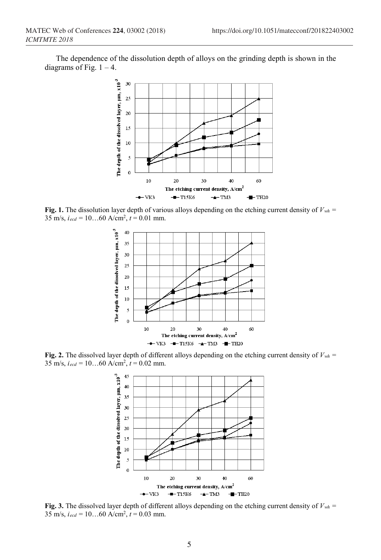The dependence of the dissolution depth of alloys on the grinding depth is shown in the diagrams of Fig.  $1 - 4$ .



**Fig.** 1. The dissolution layer depth of various alloys depending on the etching current density of  $V_{wh}$  = 35 m/s,  $i_{ecd} = 10...60$  A/cm<sup>2</sup>,  $t = 0.01$  mm.



**Fig. 2.** The dissolved layer depth of different alloys depending on the etching current density of  $V_{wh}$  = 35 m/s,  $i_{ecd} = 10...60$  A/cm<sup>2</sup>,  $t = 0.02$  mm.



**Fig.** 3. The dissolved layer depth of different alloys depending on the etching current density of  $V_{wh}$  = 35 m/s, *iecd* = 10…60 A/cm2, *t* = 0.03 mm.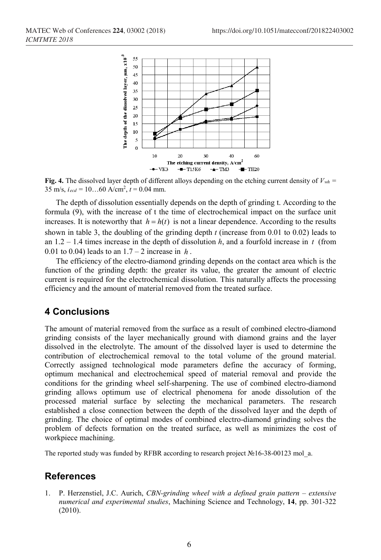

**Fig.** 4. The dissolved layer depth of different alloys depending on the etching current density of  $V_{wh}$  = 35 m/s,  $i_{ecd} = 10...60$  A/cm<sup>2</sup>,  $\hat{t} = 0.04$  mm.

The depth of dissolution essentially depends on the depth of grinding t. According to the formula (9), with the increase of t the time of electrochemical impact on the surface unit increases. It is noteworthy that  $h = h(t)$  is not a linear dependence. According to the results shown in table 3, the doubling of the grinding depth *t* (increase from 0.01 to 0.02) leads to an  $1.2 - 1.4$  times increase in the depth of dissolution *h*, and a fourfold increase in *t* (from 0.01 to 0.04) leads to an  $1.7 - 2$  increase in *h*.

The efficiency of the electro-diamond grinding depends on the contact area which is the function of the grinding depth: the greater its value, the greater the amount of electric current is required for the electrochemical dissolution. This naturally affects the processing efficiency and the amount of material removed from the treated surface.

## **4 Conclusions**

The amount of material removed from the surface as a result of combined electro-diamond grinding consists of the layer mechanically ground with diamond grains and the layer dissolved in the electrolyte. The amount of the dissolved layer is used to determine the contribution of electrochemical removal to the total volume of the ground material. Correctly assigned technological mode parameters define the accuracy of forming, optimum mechanical and electrochemical speed of material removal and provide the conditions for the grinding wheel self-sharpening. The use of combined electro-diamond grinding allows optimum use of electrical phenomena for anode dissolution of the processed material surface by selecting the mechanical parameters. The research established a close connection between the depth of the dissolved layer and the depth of grinding. The choice of optimal modes of combined electro-diamond grinding solves the problem of defects formation on the treated surface, as well as minimizes the cost of workpiece machining.

The reported study was funded by RFBR according to research project №16-38-00123 mol\_a.

## **References**

1. P. Herzenstiel, J.C. Aurich, *CBN-grinding wheel with a defined grain pattern – extensive numerical and experimental studies*, Machining Science and Technology, **14**, pp. 301-322 (2010).